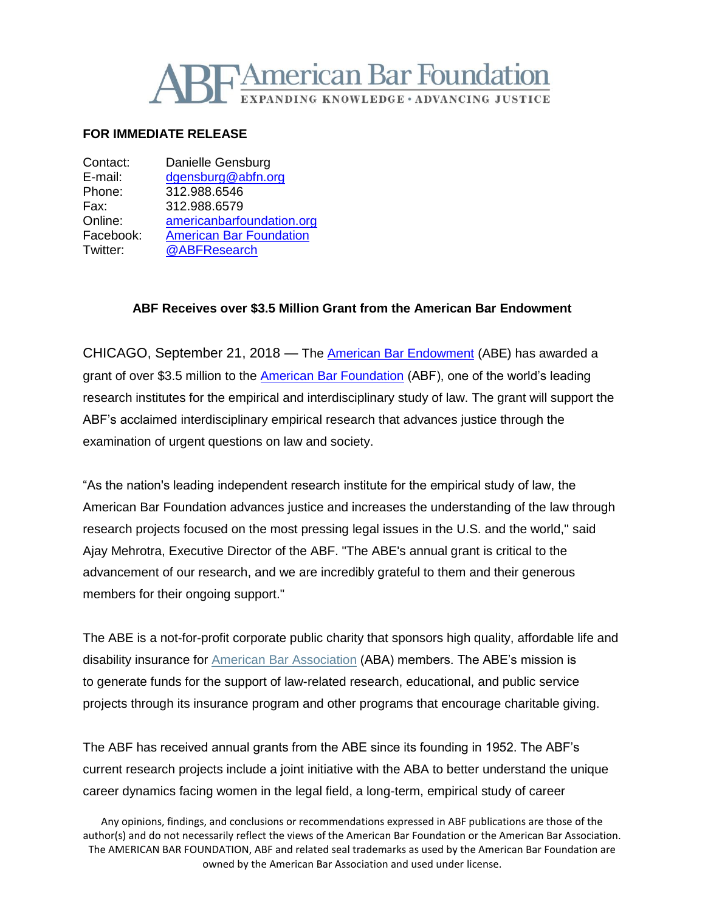

## **FOR IMMEDIATE RELEASE**

| Contact:  | Danielle Gensburg              |
|-----------|--------------------------------|
| E-mail:   | dgensburg@abfn.org             |
| Phone:    | 312.988.6546                   |
| Fax:      | 312.988.6579                   |
| Online:   | americanbarfoundation.org      |
| Facebook: | <b>American Bar Foundation</b> |
| Twitter:  | @ABFResearch                   |
|           |                                |

## **ABF Receives over \$3.5 Million Grant from the American Bar Endowment**

CHICAGO, September 21, 2018 — The **American Bar Endowment** (ABE) has awarded a grant of over \$3.5 million to the [American Bar Foundation](http://www.americanbarfoundation.org/index.html) (ABF), one of the world's leading research institutes for the empirical and interdisciplinary study of law. The grant will support the ABF's acclaimed interdisciplinary empirical research that advances justice through the examination of urgent questions on law and society.

"As the nation's leading independent research institute for the empirical study of law, the American Bar Foundation advances justice and increases the understanding of the law through research projects focused on the most pressing legal issues in the U.S. and the world," said Ajay Mehrotra, Executive Director of the ABF. "The ABE's annual grant is critical to the advancement of our research, and we are incredibly grateful to them and their generous members for their ongoing support."

The ABE is a not-for-profit corporate public charity that sponsors high quality, affordable life and disability insurance for **American Bar [Association](http://www.americanbar.org/)** (ABA) members. The ABE's mission is to generate funds for the support of law-related research, educational, and public service projects through its insurance program and other programs that encourage charitable giving.

The ABF has received annual grants from the ABE since its founding in 1952. The ABF's current research projects include a joint initiative with the ABA to better understand the unique career dynamics facing women in the legal field, a long-term, empirical study of career

Any opinions, findings, and conclusions or recommendations expressed in ABF publications are those of the author(s) and do not necessarily reflect the views of the American Bar Foundation or the American Bar Association. The AMERICAN BAR FOUNDATION, ABF and related seal trademarks as used by the American Bar Foundation are owned by the American Bar Association and used under license.